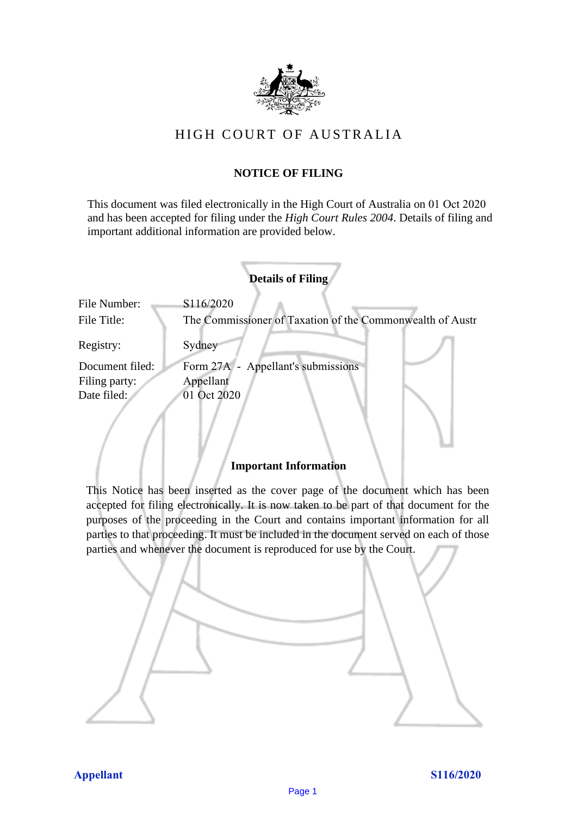

# HIGH COURT OF AU STRALIA HIGH COURT OF AUSTRALIA

## **NOTICE OF FILING** NOTICE OF FILING

This document was filed electronically in the High Court of Australia on 01 Oct 2020 This document was filed electronically in the High Court of Australia 0 and has been accepted for filing under the *High Court Rules 2004*. Details of filing and important additional information are provided below. important additional information are provided below.

|                 | <b>Details of Filing</b>                                  |
|-----------------|-----------------------------------------------------------|
| File Number:    | S116/2020                                                 |
| File Title:     | The Commissioner of Taxation of the Commonwealth of Austr |
| Registry:       | Sydney                                                    |
| Document filed: | Form 27A - Appellant's submissions                        |
| Filing party:   | Appellant                                                 |
| Date filed:     | 01 Oct 2020                                               |
|                 |                                                           |

#### **Important Information** Important Information

This Notice has been inserted as the cover page of the document which has been accepted for filing electronically. It is now taken to be part of that document for the purposes of the proceeding in the Court and contains important information for all parties to that proceeding. It must be included in the document served on each of those parties and whenever the document is reproduced for use by the Court. parties and whenever the document is reproduced for use by the Court

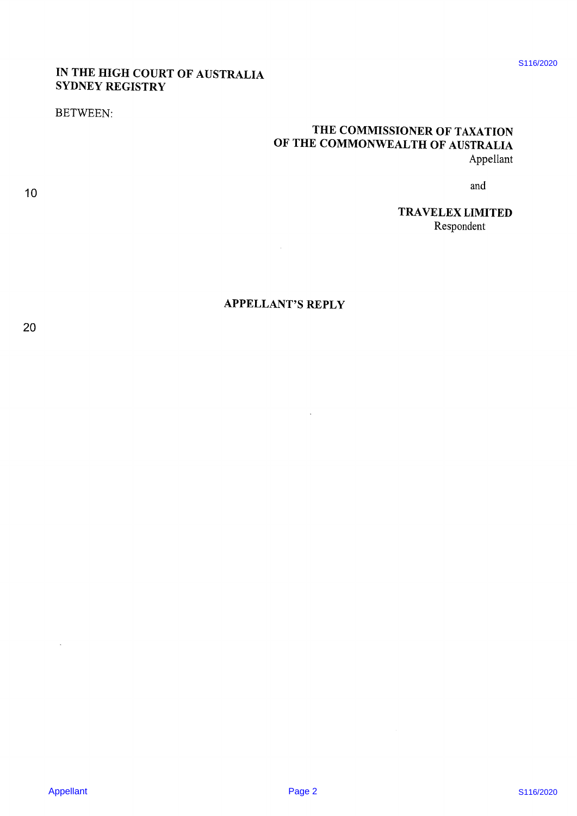# IN THE HIGH COURT OF AUSTRALIA<br>SYDNEY REGISTRY

#### **BETWEEN:**

# THE COMMISSIONER OF TAXATION<br>OF THE COMMONWEALTH OF AUSTRALIA Appellant

and

TRAVELEX LIMITED Respondent

#### **APPELLANT'S REPLY**

 $\bar{\bar{z}}$ 

 $10$ 

S116/2020

 $\ddot{\phantom{a}}$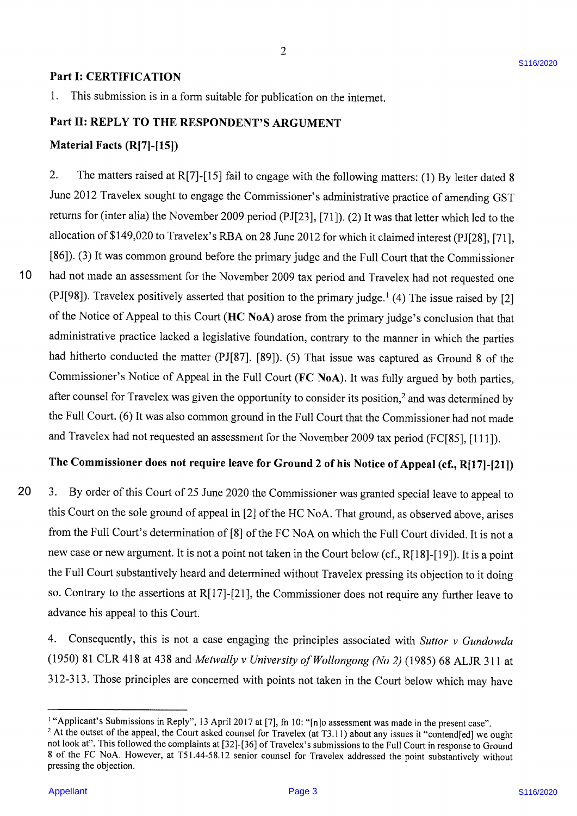#### $\frac{1}{2}$  for publication is in a form submission on the internet. Supporting the internet. Supporting the internet. Part I: CERTIFICATION

 $1.$ This submission is in a form suitable for publication on the internet.

### Part II: REPLY TO THE RESPONDENT'S ARGUMENT

# $J_{\text{eff}}$  to  $\sqrt{\text{D}(m)/(4\pi)}$ erial facts  $(K[7]-[15])$

 $10$ 

allocation of  $\mathbf{R}$  on  $\mathbf{R}$  on  $\mathbf{R}$  on  $\mathbf{R}$  on  $\mathbf{R}$  is claimed interest (PJF28),  $\mathbf{R}$  $\overline{2}$ . The matters raised at R[7]-[15] fail to engage with the following matters: (1) By letter dated 8 June 2012 Travelex sought to engage the Commissioner's administrative practice of amending GST  $\frac{1}{2}$ ns for (inter alia) the November 2009 period (PJ[23], [71]). (2) It was that letter which led to the allocation of \$149,020 to Travelex's RBA on 28 June 2012 for which it claimed interest (PJ[28], [71],  $h(3)$  if was common ground before the primary judge and the Full Court that the Commissioner  $C(S)$  it was common ground before the primary judge and the Full Court that the Commissioner had not made an assessment for the November 2009 tax period and Travelex had not requested one (PJ[98]). Travelex positively asserted that position to the primary judge.<sup>1</sup> (4) The issue raised by [2] and Travelex had not requested and position to the primary judge.  $(4)$  The Issue faised by  $[2]$  $\sigma$  Notice of Appear to this Court (HC NOA) arose from the primary judge s conclusion that that administrative practice lacked a legislative foundation, contrary to the manner in which the parties had hitherto conducted the matter (PJ[87], [89]). (5) That issue was captured as Ground 8 of the Commissioner's Notice of Appeal in the Full Court (FC NoA). It was fully argued by both parties,  $\frac{11}{11}$  is not a point  $\sqrt{2}$  is not all the Court below in the Court below (cf.,  $\frac{1}{2}$ ,  $\frac{1}{2}$ ,  $\frac{1}{2}$ ,  $\frac{1}{2}$ ,  $\frac{1}{2}$ ,  $\frac{1}{2}$ touriser for Fravelex was given the opportunity to consider its position," and was determined by the Full Court. (6) It was also common ground in the Full Court that the Commissioner had not made and Travelex had not requested an assessment for the November 2009 tax period (FC[85], [111]).

# The Commissioner does not require leave for Ground 2 of his Notice of Appeal (cf., R[17]-[21])

 $\frac{4}{\sqrt{2}}$ . Consequently, this is not a case engaging the principles associated with Suttor v Gundowda  $\frac{1}{\sqrt{2}}$ 

20 3. Court on the sole ground of appeal in [2] of the HC NoA. That ground, as observed above, arises the Full Court's determination of [8] of the FC NoA on which the Full Court divided. It is not a new case or new argument. It is not a point not taken in the Court below (cf., R[18]-[19]). It is a point the Full Court substantively heard and determined without Travelex pressing its objection to it doing so. Contrary to the assertions at  $R[17]-[21]$ , the Commissioner does not require any further leave to advance his appeal to this Court.

Consequently, this is not a case engaging the principles associated with Suttor v Gundowda  $4.$ (1950) 81 CLR 418 at 438 and Metwally v University of Wollongong (No 2) (1985) 68 ALJR 311 at 312-313. Those principles are concerned with points not taken in the Court below which may have

<sup>&</sup>lt;sup>1</sup> "Applicant's Submissions in Reply", 13 April 2017 at [7], fn 10: "[n]o assessment was made in the present case".

<sup>&</sup>lt;sup>2</sup> At the outset of the appeal, the Court asked counsel for Travelex (at T3.11) about any issues it "contend[ed] we ought not look at". This followed the complaints at [32]-[36] of Travelex's submissions to the Full Court in response to Ground 8 of the FC NoA. However, at T51.44-58.12 senior counsel for Travelex addressed the point substantively without pressing the objection.<br>Appellant S116/2020<br>Appellant S116/2020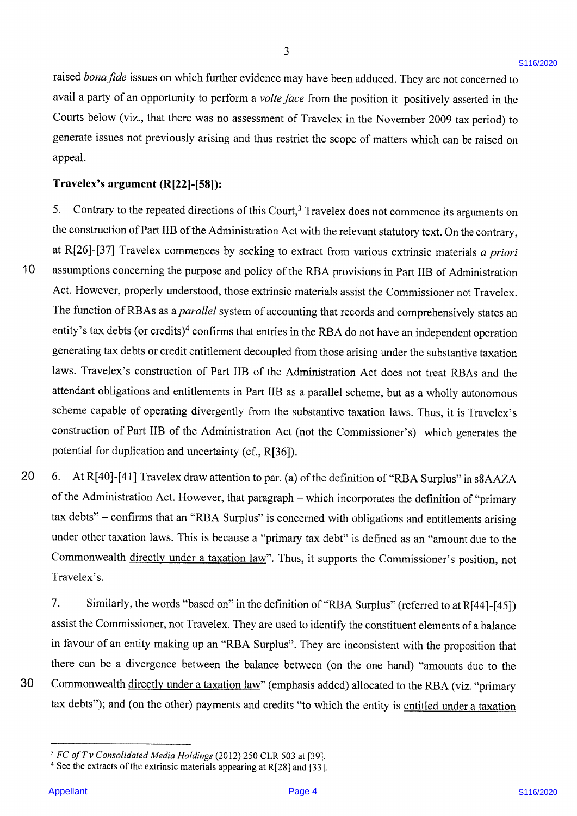are a party of an opportunity to perform a volte face from a volte face from the position in the position in the position in the position in the position in the position in the position in the positive later  $\mathcal{L}$  as a d *bona fide* issues on which further evidence may have been adduced. They are not concerned to avail a party of an opportunity to perform a volte face from the position it positively asserted in the appeal.  $\omega$  below (RE), that there was no assessment of  $\Gamma$ generate issues not previously arising and thus restrict the scope of matters which can be raised on appeal.  $t$ he construction of Part IIB of Part IIB of  $\mathbb{R}$  and  $\mathbb{R}$  and contrary, text. On the contrary, text. On the contrary, text. On the contrary, text. On the contrary, text. On the contrary, text. On the contrary, t

#### $\text{rel}\alpha$ <sup>2</sup>s argument (B[22]  $\text{I}^{\text{201}}$   $\text{I}^{\text{201}}$ Travelex's argument  $(R[22]-[58])$ :

Contrary to the repeated directions of this Court  $^3$  Traveley does not commonso its arguments on  $5<sub>1</sub>$ Contrary to the repeated directions of this Court, I ravelex does not commence its arguments on the construction of Part IIB of the Administration Act with the relevant statutory text. On the contrary, [26]-[37] Travelex commences by seeking to extract from various extrinsic materials a priori  $20$   $37$  ravelex commences by seeking to extract from various extrinsic materials a priori assumptions concerning the purpose and policy of the RBA provisions in Part IIB of Administration Act. However, properly understood, those extrinsic materials assist the Commissioner not Travelex. construction of  $PBA \text{ is a small value of } 0.0000$  and  $C = 0.00000$  which generates the Commissioner's not traveled. function of RBAs as a *parallet* system of accounting that records and comentity's tax debts (or credits)<sup>4</sup> confirms that entries in the RBA do not have an independent operation generating tax debts or credit entitlement decoupled from those arising under the substantive taxation  $t_{\rm g}$  and an intermediate mixture mixture.  $\mu$  respects to taxation of Fail this of the Administration Act does not treat RBAs and the attendant obligations and entitlements in Part IIB as a parallel scheme, but as a wholly autonomous scheme capable of operating divergently from the substantive taxation laws. Thus, it is Travelex's  $\frac{1}{2}$ . Similarly, the B. S. Similarly, the definition of the definition of  $\frac{1}{2}$  surplus  $\frac{1}{2}$ assist the Commission Act (not the Commissioner s) which generates the potential for duplication and uncertainty (cf., R[36]).

 $t$  there can be a divergence between the balance between  $\lambda$  and  $\lambda$  and  $\lambda$  amounts due to the one hand 30 6. At R[40]-[41] I ravelex draw attention to par. (a) of the definition of "RBA Surplus" in s8AAZA of the Administration Act. However, that paragraph – which incorporates the definition of "primary tax debts" – confirms that an "RBA Surplus" is concerned with obligations and entitlements arising er other taxation laws. This is because a "primary tax debt" is defined as an "amou Commonwealth directly under a taxation law". Thus, it supports the Commissioner's position, not Travelex's.

 $7.$ Similarly, the words "based on" in the definition of "RBA Surplus" (referred to at R[44]-[45]) assist the Commissioner, not Travelex. They are used to identify the constituent elements of a balance in favour of an entity making up an "RBA Surplus". They are inconsistent with the proposition that there can be a divergence between the balance between (on the one hand) "amounts due to the Commonwealth directly under a taxation law" (emphasis added) allocated to the RBA (viz. "primary tax debts"); and (on the other) payments and credits "to which the entity is entitled under a taxation

30

 $10$ 

<sup>&</sup>lt;sup>3</sup> FC of T v Consolidated Media Holdings (2012) 250 CLR 503 at [39].

<sup>&</sup>lt;sup>4</sup> See the extracts of the extrinsic materials appearing at R[28] and [33].<br>
Appellant Page 4 S116/2020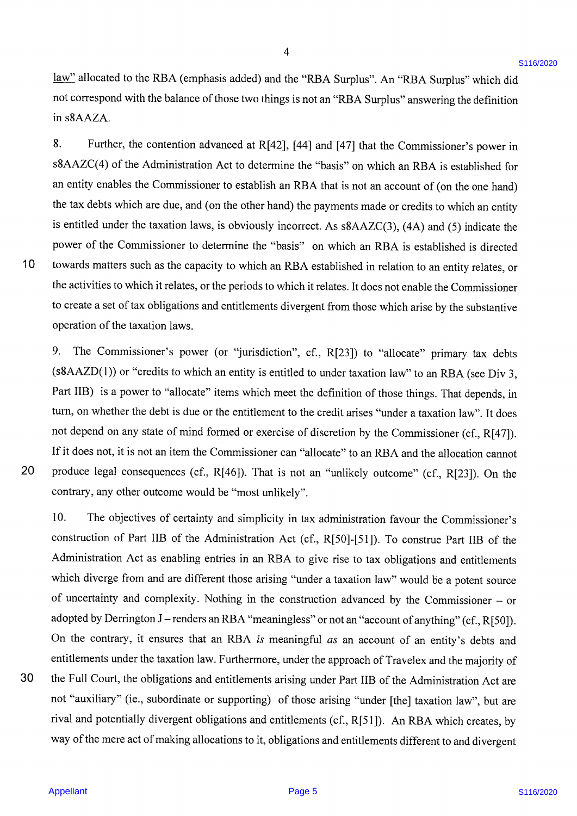not correspond with the balance of those two things is not an  $\mathbb{R}$  Surplus  $\mathbb{R}$  Surplus  $\mathbb{R}$  Surplus  $\mathbb{R}$ allocated to the not correspond with the balance of those two things is not an "RBA Surplus" answering the definition  $\mathbf{A} \mathbf{A} \mathbf{Z} \mathbf{A}$ . and the Commissioner to establish and  $\mathcal{L}$  that is not an  $\mathcal{L}$  that is not an account of (one hand)

8. Further, the contention advanced at R[42], [44] and [47] that the Commissioner's power in  $\frac{1}{2}$ <br> $\frac{1}{2}$  is equal to the Administration Act to determine the "besize" on which and  $\text{PDA}$  is a stablished for  $KLC(4)$  or the Administration Act to determine the "basis" on which an RBA is established for an entity enables the Commissioner to establish an RBA that is not an account of (on the one hand)  $\alpha$  debts which are due, and (on the other hand) the payments made or credits to which an entity to create a set of tax obligations and entitlement in the substantial payments made or creates to which an entity is entitled under the taxation laws, is obviously incorrect. As  $s8AAZC(3)$ , (4A) and (5) indicate the power of the Commissioner to determine the "basis" on which an RBA is established is directed rds matters such as the capacity to which an RBA established in relation to an entity relates, or restances such as the eapachy to which an KDA established in relation to an entity relates, or the activities to which it relates, or the periods to which it relates. It does not enable the Commissioner eate a set of tax obligations and entitlements divergent from those which arise by the substantive If it is not, it is not, it is not an international the Commissioner can be an Allocated the allocation cannot  $p_1(x)$  and  $p_2(x)$  and  $p_3(x)$ . The is not an  $\mathbb{R}$  is not an  $\mathbb{R}$  outcome  $\mathbb{R}$  outcome  $\mathbb{R}$ .

The Commissioner's power (or "jurisdiction", cf., R[23]) to "allocate" primary tax debts 9.  $(10.10)$  or "credits to which an entity is entitled to under togation law" to an BBA (see Div.2)  $ALD(1)$  or "credits to which an entity is entitled to under taxation law" to an RBA (see Div 3, Part IIB) is a power to "allocate" items which meet the definition of those things. That depends, in on whether the debt is due or the entitlement to the credit arises "under a taxation law". It does of whether the debt is due of the childrenicht to the credit arises under a taxation law. It does not depend on any state of mind formed or exercise of discretion by the Commissioner (cf., R[47]). If it does not, it is not an item the Commissioner can "allocate" to an RBA and the allocation cannot  $\frac{1}{2}$ uce legal consequences (cf.,  $R[46]$ ). That is not an "unlikely outcome" (cf.,  $R[23]$ ). On the contrary, any other outcome would be "most unlikely".

rival and potentially divergent obligations and entitlements (cf., R[51]). An RBA which creates, by

 $10.$ The objectives of certainty and simplicity in tax administration favour the Commissioner's construction of Part IIB of the Administration Act (cf., R[50]-[51]). To construe Part IIB of the Administration Act as enabling entries in an RBA to give rise to tax obligations and entitlements which diverge from and are different those arising "under a taxation law" would be a potent source of uncertainty and complexity. Nothing in the construction advanced by the Commissioner - or adopted by Derrington J - renders an RBA "meaningless" or not an "account of anything" (cf., R[50]). On the contrary, it ensures that an RBA is meaningful as an account of an entity's debts and entitlements under the taxation law. Furthermore, under the approach of Travelex and the majority of the Full Court, the obligations and entitlements arising under Part IIB of the Administration Act are not "auxiliary" (ie., subordinate or supporting) of those arising "under [the] taxation law", but are rival and potentially divergent obligations and entitlements (cf., R[51]). An RBA which creates, by way of the mere act of making allocations to it, obligations and entitlements different to and divergent

#### 30

30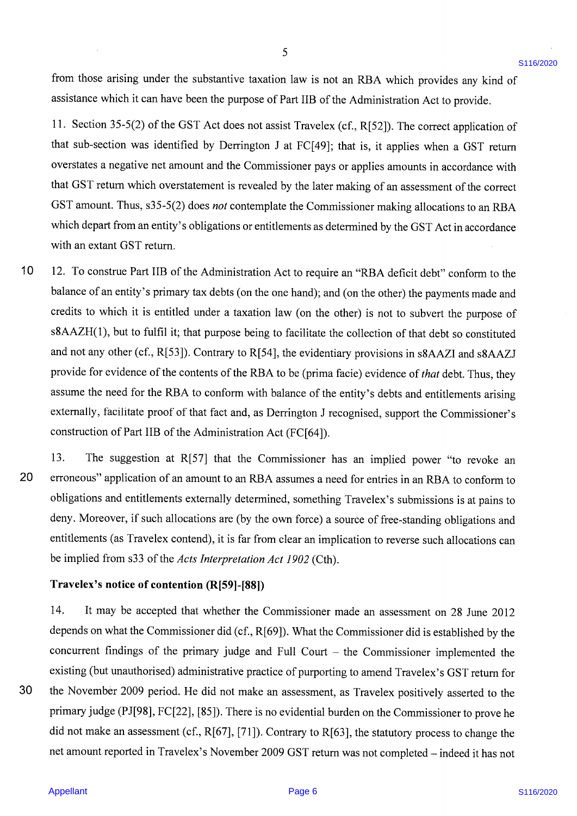those arising under the substantive taxation law is not an RBA which provides any kind of assistance which it can have been the purpose of Part IIB of the Administration Act to provide.

 $\overline{a}$  overstates and the Commissioner pays or applies and the Commissioner pays or applies amounts in accordance with  $\overline{a}$ Section 35-5(2) of the GST Act does not assist Travelex (cf.,  $R[52]$ ). The correct application of that sub-section was identified by Derrington J at FC[49]; that is, it applies when a GST return  $w_{\text{S}} = \text{range} \times w + \sigma_{\text{S}}$ , which depends on the dST Total in accordance of  $\sigma_{\text{S}}$  and  $\sigma_{\text{S}}$  and  $\sigma_{\text{S}}$  and  $\sigma_{\text{S}}$  and  $\sigma_{\text{S}}$  and  $\sigma_{\text{S}}$  and  $\sigma_{\text{S}}$  and  $\sigma_{\text{S}}$  and  $\sigma_{\text{S}}$  and  $\sigma_{\text{S}}$ states a negative net amount and the that GST return which overstatement is revealed by the later making of an assessment of the correct GST amount. Thus, s35-5(2) does *not* contemplate the Commissioner making allocations to an RBA core to which it is entitled under the other in the purpose of the other purpose of the purpose of the purpose of the purpose of the purpose of the purpose of the purpose of the purpose of the purpose of the purpose of the n depart from an entity's obligations or entitlements as determined by the GST Act in accordance an extant GST return. Contrary to Research in state  $\frac{1}{2}$ , the evidential and state  $\frac{1}{2}$  and same state  $\frac{1}{2}$ 

provide for evidence of the contents of the RBA to be (prima facie) evidence of that debt. Thus, they  $10$ To construe Part IIB of the Administration Act to require an "RBA deficit debt" conform to the balance of an entity's primary tax debts (on the one hand); and (on the other) the payments made and credits to which it is entitled under a taxation law (on the other) is not to subvert the purpose of  $13.1$  that  $5751$  that the suggestion at Revolution  $\frac{1}{2}$  that the Commissioner  $\frac{1}{2}$  to revoke an implied power the purpose of  $\Delta ZH(1)$ , but to fulfil it; that purpose being to facilitate the collection of that debt so constituted and not any other (cf., R[53]). Contrary to R[54], the evidentiary provisions in s8AAZI and s8AAZJ  $\ddot{\theta}$  for evidence of the contents of the DDA to be (mime for a) asidema  $\theta$  free-state  $T_1$  and  $T_2$ ide for evidence of the contents of the RBA to be (prima facie) evidence of *that* debt. Thus, they assume the need for the RBA to conform with balance of the entity's debts and entitlements arising externally, facilitate proof of that fact and, as Derrington J recognised, support the Commissioner's construction of Part IIB of the Administration Act (FC[64]).  $\ddot{\text{c}}$  on what the Commissioner did is established by the Commissioner did is established by the Commissioner did is established by the Commissioner did is established by the Commissioner did is established by the Com

30

13. The suggestion at R[57] that the Commissioner has an implied power "to revoke an  $\frac{1}{1}$  and  $\frac{1}{1}$  and  $\frac{1}{1}$  and  $\frac{1}{1}$  return for a purpose  $\frac{1}{1}$  return for purpose  $\frac{1}{1}$  return for purpose  $\frac{1}{1}$  return for  $\frac{1}{1}$  return for  $\frac{1}{1}$  return for  $\frac{1}{1}$  return for  $\frac{1}{$ 30 the November 2009 period. He did not make a make a November 2009 period. He did not make the conflorm to obligations and entitlements externally determined, something Travelex's submissions is at pains to deny. Moreover, if such allocations are (by the own force) a source of free-standing obligations and entitlements (as Travelex contend), it is far from clear an implication to reverse such allocations can be implied from s33 of the *Acts Interpretation Act 1902* (Cth).

#### Travelex's notice of contention (R[59]-[88])

14. It may be accepted that whether the Commissioner made an assessment on 28 June 2012 depends on what the Commissioner did (cf., R[69]). What the Commissioner did is established by the concurrent findings of the primary judge and Full Court - the Commissioner implemented the existing (but unauthorised) administrative practice of purporting to amend Travelex's GST return for the November 2009 period. He did not make an assessment, as Travelex positively asserted to the primary judge (PJ[98], FC[22], [85]). There is no evidential burden on the Commissioner to prove he did not make an assessment (cf., R[67], [71]). Contrary to R[63], the statutory process to change the net amount reported in Travelex's November 2009 GST return was not completed - indeed it has not